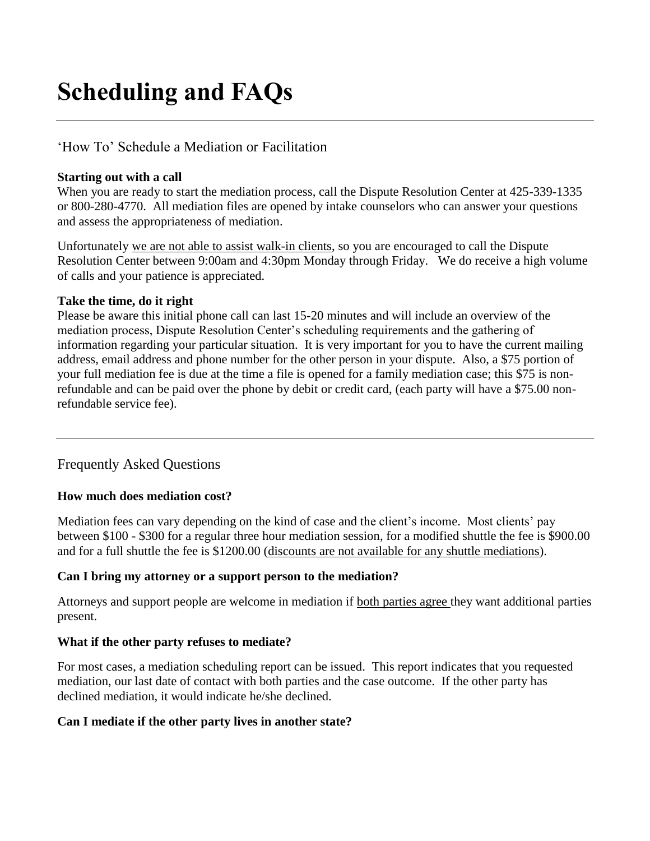# **Scheduling and FAQs**

# 'How To' Schedule a Mediation or Facilitation

#### **Starting out with a call**

When you are ready to start the mediation process, call the Dispute Resolution Center at 425-339-1335 or 800-280-4770. All mediation files are opened by intake counselors who can answer your questions and assess the appropriateness of mediation.

Unfortunately we are not able to assist walk-in clients, so you are encouraged to call the Dispute Resolution Center between 9:00am and 4:30pm Monday through Friday. We do receive a high volume of calls and your patience is appreciated.

#### **Take the time, do it right**

Please be aware this initial phone call can last 15-20 minutes and will include an overview of the mediation process, Dispute Resolution Center's scheduling requirements and the gathering of information regarding your particular situation. It is very important for you to have the current mailing address, email address and phone number for the other person in your dispute. Also, a \$75 portion of your full mediation fee is due at the time a file is opened for a family mediation case; this \$75 is nonrefundable and can be paid over the phone by debit or credit card, (each party will have a \$75.00 nonrefundable service fee).

## Frequently Asked Questions

## **How much does mediation cost?**

Mediation fees can vary depending on the kind of case and the client's income. Most clients' pay between \$100 - \$300 for a regular three hour mediation session, for a modified shuttle the fee is \$900.00 and for a full shuttle the fee is \$1200.00 (discounts are not available for any shuttle mediations).

## **Can I bring my attorney or a support person to the mediation?**

Attorneys and support people are welcome in mediation if both parties agree they want additional parties present.

## **What if the other party refuses to mediate?**

For most cases, a mediation scheduling report can be issued. This report indicates that you requested mediation, our last date of contact with both parties and the case outcome. If the other party has declined mediation, it would indicate he/she declined.

## **Can I mediate if the other party lives in another state?**